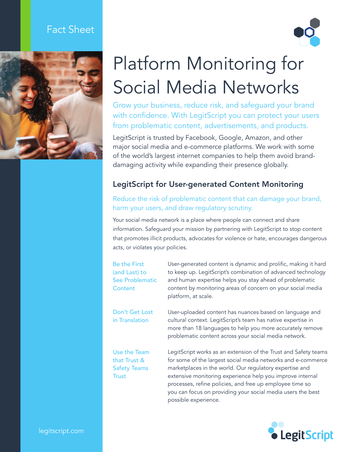# Fact Sheet





# Platform Monitoring for Social Media Networks

Grow your business, reduce risk, and safeguard your brand with confidence. With LegitScript you can protect your users from problematic content, advertisements, and products.

LegitScript is trusted by Facebook, Google, Amazon, and other major social media and e-commerce platforms. We work with some of the world's largest internet companies to help them avoid branddamaging activity while expanding their presence globally.

## LegitScript for User-generated Content Monitoring

#### Reduce the risk of problematic content that can damage your brand, harm your users, and draw regulatory scrutiny.

Your social media network is a place where people can connect and share information. Safeguard your mission by partnering with LegitScript to stop content that promotes illicit products, advocates for violence or hate, encourages dangerous acts, or violates your policies.

Be the First (and Last) to See Problematic Content

User-generated content is dynamic and prolific, making it hard to keep up. LegitScript's combination of advanced technology and human expertise helps you stay ahead of problematic content by monitoring areas of concern on your social media platform, at scale.

Don't Get Lost in Translation

Use the Team that Trust & Safety Teams **Trust** 

User-uploaded content has nuances based on language and cultural context. LegitScript's team has native expertise in more than 18 languages to help you more accurately remove problematic content across your social media network.

LegitScript works as an extension of the Trust and Safety teams for some of the largest social media networks and e-commerce marketplaces in the world. Our regulatory expertise and extensive monitoring experience help you improve internal processes, refine policies, and free up employee time so you can focus on providing your social media users the best possible experience.



legitscript.com